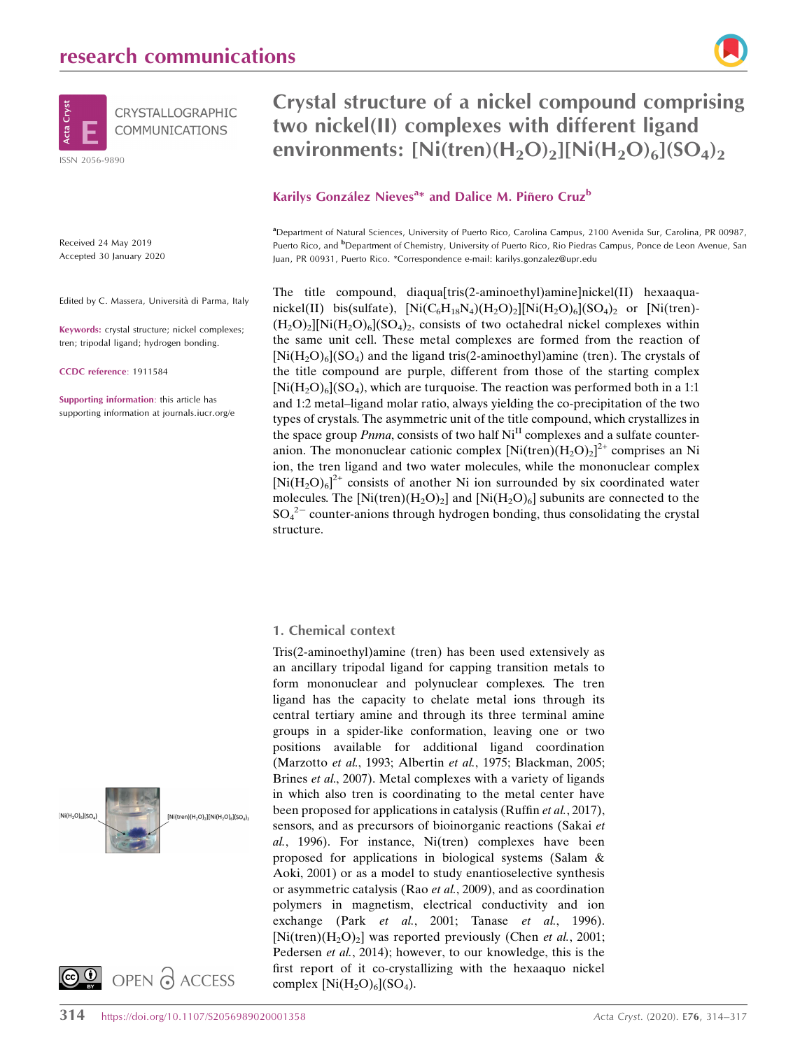

Received 24 May 2019 Accepted 30 January 2020

Edited by C. Massera, Università di Parma, Italy

Keywords: crystal structure; nickel complexes; tren; tripodal ligand; hydrogen bonding.

CCDC reference: 1911584

Supporting information: this article has supporting information at journals.iucr.org/e





## Crystal structure of a nickel compound comprising two nickel(II) complexes with different ligand environments:  $[Ni(tren)(H_2O)_2][Ni(H_2O)_6](SO_4)_2$

## Karilys González Nieves<sup>a\*</sup> and Dalice M. Piñero Cruz<sup>b</sup>

a Department of Natural Sciences, University of Puerto Rico, Carolina Campus, 2100 Avenida Sur, Carolina, PR 00987, Puerto Rico, and <sup>b</sup>Department of Chemistry, University of Puerto Rico, Rio Piedras Campus, Ponce de Leon Avenue, San Juan, PR 00931, Puerto Rico. \*Correspondence e-mail: karilys.gonzalez@upr.edu

The title compound, diaqua[tris(2-aminoethyl)amine]nickel(II) hexaaquanickel(II) bis(sulfate),  $[Ni(C_6H_{18}N_4)(H_2O)_2][Ni(H_2O)_6](SO_4)_2$  or  $[Ni(tran) (H_2O)_2$ ][Ni $(H_2O)_6$ ](SO<sub>4</sub>)<sub>2</sub>, consists of two octahedral nickel complexes within the same unit cell. These metal complexes are formed from the reaction of  $[Ni(H<sub>2</sub>O)<sub>6</sub>](SO<sub>4</sub>)$  and the ligand tris(2-aminoethyl)amine (tren). The crystals of the title compound are purple, different from those of the starting complex  $[Ni(H<sub>2</sub>O)<sub>6</sub>](SO<sub>4</sub>)$ , which are turquoise. The reaction was performed both in a 1:1 and 1:2 metal–ligand molar ratio, always yielding the co-precipitation of the two types of crystals. The asymmetric unit of the title compound, which crystallizes in the space group  $Pnma$ , consists of two half  $Ni<sup>H</sup>$  complexes and a sulfate counteranion. The mononuclear cationic complex  $[Ni(tren)(H_2O)_2]^{2+}$  comprises an Ni ion, the tren ligand and two water molecules, while the mononuclear complex  $[Ni(H<sub>2</sub>O)<sub>6</sub>]<sup>2+</sup>$  consists of another Ni ion surrounded by six coordinated water molecules. The  $[Ni(tren)(H_2O)_2]$  and  $[Ni(H_2O)_6]$  subunits are connected to the  $SO_4^2$  counter-anions through hydrogen bonding, thus consolidating the crystal structure.

#### 1. Chemical context

Tris(2-aminoethyl)amine (tren) has been used extensively as an ancillary tripodal ligand for capping transition metals to form mononuclear and polynuclear complexes. The tren ligand has the capacity to chelate metal ions through its central tertiary amine and through its three terminal amine groups in a spider-like conformation, leaving one or two positions available for additional ligand coordination (Marzotto et al., 1993; Albertin et al., 1975; Blackman, 2005; Brines et al., 2007). Metal complexes with a variety of ligands in which also tren is coordinating to the metal center have been proposed for applications in catalysis (Ruffin et al., 2017), sensors, and as precursors of bioinorganic reactions (Sakai et al., 1996). For instance, Ni(tren) complexes have been proposed for applications in biological systems (Salam & Aoki, 2001) or as a model to study enantioselective synthesis or asymmetric catalysis (Rao et al., 2009), and as coordination polymers in magnetism, electrical conductivity and ion exchange (Park et al., 2001; Tanase et al., 1996). [Ni(tren) $(H_2O)_2$ ] was reported previously (Chen *et al.*, 2001; Pedersen et al., 2014); however, to our knowledge, this is the first report of it co-crystallizing with the hexaaquo nickel complex  $[Ni(H_2O)_6](SO_4)$ .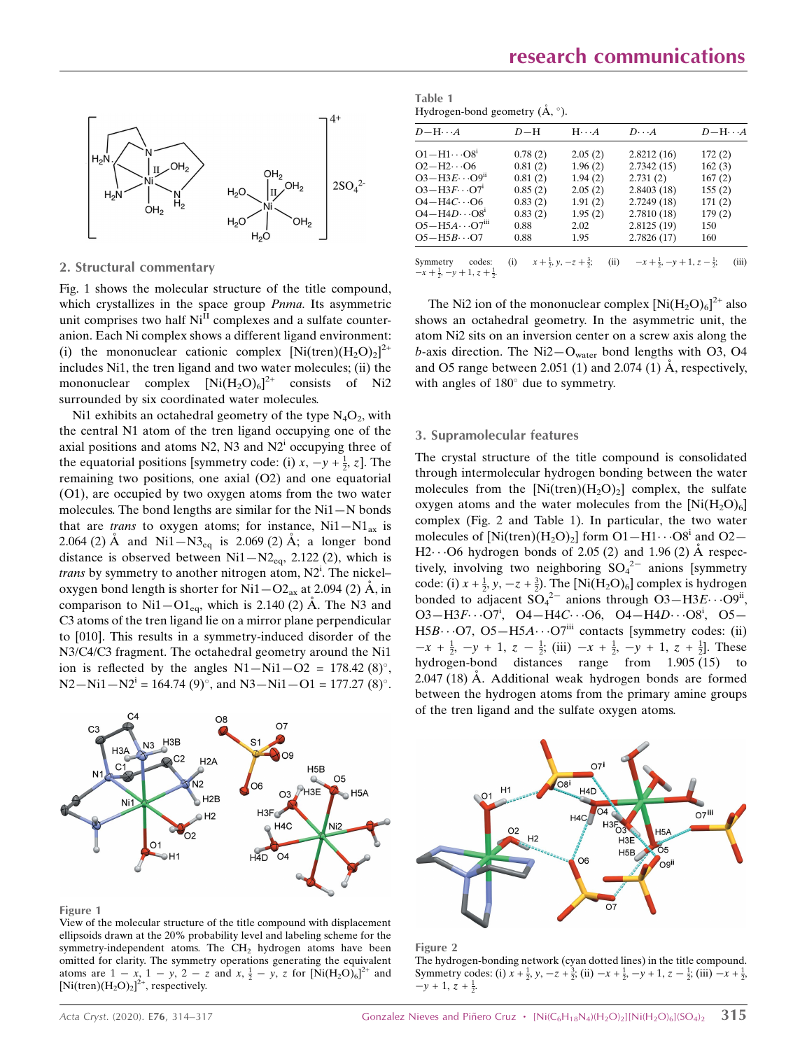

### 2. Structural commentary

Fig. 1 shows the molecular structure of the title compound, which crystallizes in the space group *Pnma*. Its asymmetric unit comprises two half  $Ni<sup>II</sup>$  complexes and a sulfate counteranion. Each Ni complex shows a different ligand environment: (i) the mononuclear cationic complex  $[Ni(tren)(H_2O)_2]^{2+}$ includes Ni1, the tren ligand and two water molecules; (ii) the mononuclear complex  $[Ni(H_2O)_6]^{2+}$  consists of Ni2 surrounded by six coordinated water molecules.

Ni1 exhibits an octahedral geometry of the type  $N_4O_2$ , with the central N1 atom of the tren ligand occupying one of the axial positions and atoms  $N2$ ,  $N3$  and  $N2<sup>i</sup>$  occupying three of the equatorial positions [symmetry code: (i)  $x, -y + \frac{1}{2}, z$ ]. The remaining two positions, one axial (O2) and one equatorial (O1), are occupied by two oxygen atoms from the two water molecules. The bond lengths are similar for the Ni1—N bonds that are *trans* to oxygen atoms; for instance,  $Ni1 - N1_{ax}$  is 2.064 (2) Å and Ni1-N3<sub>eq</sub> is 2.069 (2) Å; a longer bond distance is observed between  $Ni1-N2_{eq}$ , 2.122 (2), which is trans by symmetry to another nitrogen atom, N2<sup>i</sup>. The nickeloxygen bond length is shorter for  $\text{Ni1--O2}_{\text{ax}}$  at 2.094 (2) Å, in comparison to  $\mathrm{Ni1-O1}_{\mathrm{ea}}$ , which is 2.140 (2) Å. The N3 and C3 atoms of the tren ligand lie on a mirror plane perpendicular to [010]. This results in a symmetry-induced disorder of the N3/C4/C3 fragment. The octahedral geometry around the Ni1 ion is reflected by the angles  $N1 - Ni1 - O2 = 178.42$  (8)°.  $N2 - Ni1 - N2<sup>i</sup> = 164.74 (9)°$ , and  $N3 - Ni1 - O1 = 177.27 (8)°$ .

Table 1 Hydrogen-bond geometry  $(\AA, \degree)$ .

| $D-H\cdots A$                                                | $D-H$   | $H \cdot \cdot \cdot A$                             | $D\cdot\cdot\cdot A$                   | $D$ -H $\cdots$ A |
|--------------------------------------------------------------|---------|-----------------------------------------------------|----------------------------------------|-------------------|
| $O1 - H1 \cdots O8i$                                         | 0.78(2) | 2.05(2)                                             | 2.8212(16)                             | 172(2)            |
| $O2-H2\cdots$ O6                                             | 0.81(2) | 1.96(2)                                             | 2.7342(15)                             | 162(3)            |
| $O3-H3E\cdots O9n$                                           | 0.81(2) | 1.94(2)                                             | 2.731(2)                               | 167(2)            |
| $O3-H3F\cdots O7i$                                           | 0.85(2) | 2.05(2)                                             | 2.8403(18)                             | 155(2)            |
| $O4 - H4C \cdot O6$                                          | 0.83(2) | 1.91(2)                                             | 2.7249 (18)                            | 171(2)            |
| $O4 - H4D \cdots O81$                                        | 0.83(2) | 1.95(2)                                             | 2.7810(18)                             | 179(2)            |
| $O5 - H5A \cdots O7III$                                      | 0.88    | 2.02                                                | 2.8125(19)                             | 150               |
| $O5 - H5B \cdot O7$                                          | 0.88    | 1.95                                                | 2.7826(17)                             | 160               |
|                                                              |         |                                                     |                                        |                   |
| codes:<br>Symmetry<br>$-x+\frac{1}{2}, -y+1, z+\frac{1}{2}.$ | (i)     | (ii)<br>$x + \frac{1}{2}$ , y, $-z + \frac{3}{2}$ ; | $-x+\frac{1}{2}, -y+1, z-\frac{1}{2};$ | (iii)             |

The Ni2 ion of the mononuclear complex  $[Ni(H_2O)_6]^{2+}$  also shows an octahedral geometry. In the asymmetric unit, the atom Ni2 sits on an inversion center on a screw axis along the b-axis direction. The  $Ni2-O<sub>water</sub>$  bond lengths with O3, O4 and O5 range between 2.051 (1) and 2.074 (1)  $\AA$ , respectively, with angles of  $180^\circ$  due to symmetry.

#### 3. Supramolecular features

The crystal structure of the title compound is consolidated through intermolecular hydrogen bonding between the water molecules from the  $[Ni(tren)(H_2O)_2]$  complex, the sulfate oxygen atoms and the water molecules from the  $[Ni(H_2O)_6]$ complex (Fig. 2 and Table 1). In particular, the two water molecules of  $\left[\text{Ni(tren)}\right]\left(\text{H}_2\text{O}_2\right)$  form  $\text{O1-H1}\cdots\text{O8}^{\text{i}}$  and  $\text{O2}-$ H2 $\cdots$ O6 hydrogen bonds of 2.05 (2) and 1.96 (2) Å respectively, involving two neighboring  $SO_4^2$  anions [symmetry code: (i)  $x + \frac{1}{2}$ ,  $y, -z + \frac{3}{2}$ . The [Ni(H<sub>2</sub>O)<sub>6</sub>] complex is hydrogen bonded to adjacent  $SO_4^2$  anions through  $O_3$ -H3 $E\cdots$ O9<sup>ii</sup>,  $O3 - H3F\cdots O7^i$ ,  $O4 - H4C\cdots O6$ ,  $O4 - H4D\cdots O8^i$ ,  $O5 -$ H5B $\cdots$ O7, O5-H5A $\cdots$ O7<sup>iii</sup> contacts [symmetry codes: (ii)  $-x + \frac{1}{2}$ ,  $-y + 1$ ,  $z - \frac{1}{2}$ ; (iii)  $-x + \frac{1}{2}$ ,  $-y + 1$ ,  $z + \frac{1}{2}$ . These hydrogen-bond distances range from 1.905 (15) to  $2.047(18)$  Å. Additional weak hydrogen bonds are formed between the hydrogen atoms from the primary amine groups of the tren ligand and the sulfate oxygen atoms.



#### Figure 1

View of the molecular structure of the title compound with displacement ellipsoids drawn at the 20% probability level and labeling scheme for the symmetry-independent atoms. The  $CH<sub>2</sub>$  hydrogen atoms have been omitted for clarity. The symmetry operations generating the equivalent atoms are  $1 - x$ ,  $1 - y$ ,  $2 - z$  and  $x$ ,  $\frac{1}{2} - y$ , z for  $[\text{Ni}(\text{H}_2\text{O})_6]^{\text{2+}}$  and [Ni(tren) $(H_2O)_2$ ]<sup>2+</sup>, respectively.





The hydrogen-bonding network (cyan dotted lines) in the title compound. Symmetry codes: (i)  $x + \frac{1}{2}$ ,  $y$ ,  $-z + \frac{3}{2}$ ; (ii)  $-x + \frac{1}{2}$ ,  $-y + 1$ ,  $z - \frac{1}{2}$ ; (iii)  $-x + \frac{1}{2}$ ,  $-y + 1, z + \frac{1}{2}.$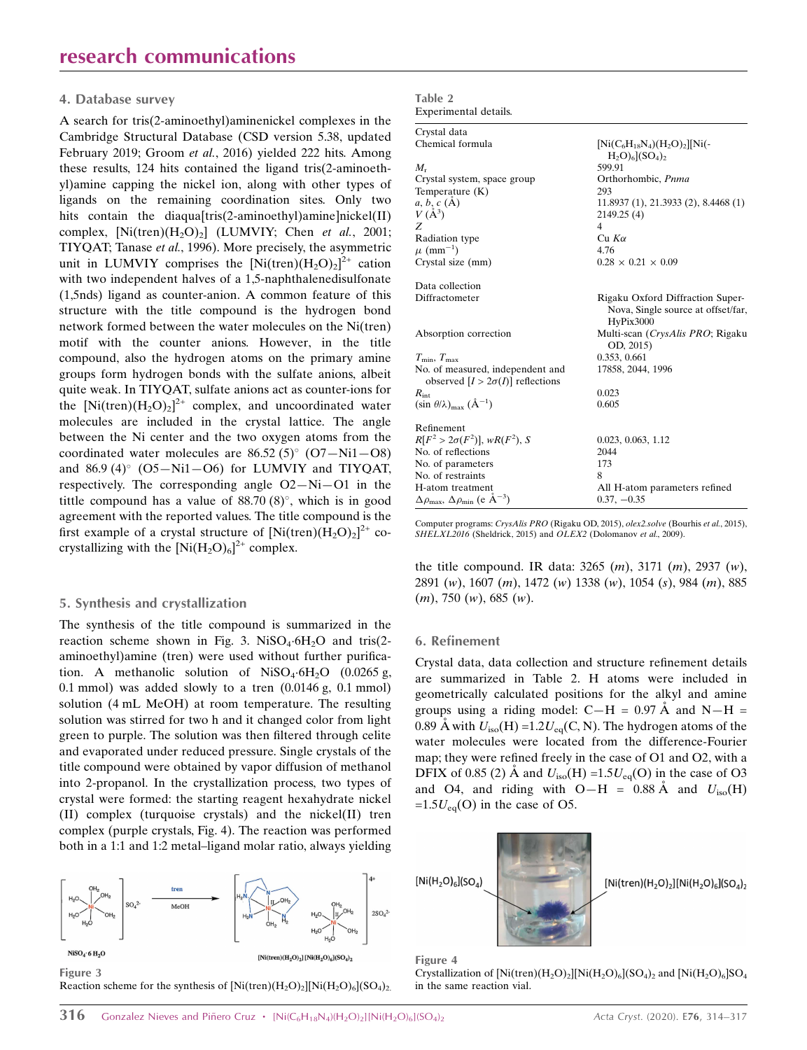#### 4. Database survey

A search for tris(2-aminoethyl)aminenickel complexes in the Cambridge Structural Database (CSD version 5.38, updated February 2019; Groom et al., 2016) yielded 222 hits. Among these results, 124 hits contained the ligand tris(2-aminoethyl)amine capping the nickel ion, along with other types of ligands on the remaining coordination sites. Only two hits contain the diaqua[tris(2-aminoethyl)amine]nickel(II) complex,  $[Ni(tren)(H<sub>2</sub>O)<sub>2</sub>]$  (LUMVIY; Chen et al., 2001; TIYQAT; Tanase et al., 1996). More precisely, the asymmetric unit in LUMVIY comprises the  $[Ni(tren)(H_2O)_2]^{2+}$  cation with two independent halves of a 1,5-naphthalenedisulfonate (1,5nds) ligand as counter-anion. A common feature of this structure with the title compound is the hydrogen bond network formed between the water molecules on the Ni(tren) motif with the counter anions. However, in the title compound, also the hydrogen atoms on the primary amine groups form hydrogen bonds with the sulfate anions, albeit quite weak. In TIYQAT, sulfate anions act as counter-ions for the  $[Ni(tren)(H_2O)_2]^{2+}$  complex, and uncoordinated water molecules are included in the crystal lattice. The angle between the Ni center and the two oxygen atoms from the coordinated water molecules are  $86.52 (5)°$  (O7-Ni1-O8) and  $86.9 (4)$ °  $(O5-Ni1-O6)$  for LUMVIY and TIYQAT, respectively. The corresponding angle O2—Ni—O1 in the tittle compound has a value of  $88.70(8)^\circ$ , which is in good agreement with the reported values. The title compound is the first example of a crystal structure of  $\left[\text{Ni}(tren)(\text{H}_2\text{O})_2\right]^{2+}$  cocrystallizing with the  $\left[\text{Ni}(\text{H}_2\text{O})_6\right]^{2+}$  complex.

#### 5. Synthesis and crystallization

The synthesis of the title compound is summarized in the reaction scheme shown in Fig. 3. NiSO<sub>4</sub>.6H<sub>2</sub>O and tris(2aminoethyl)amine (tren) were used without further purification. A methanolic solution of  $NiSO<sub>4</sub>·6H<sub>2</sub>O$  (0.0265 g, 0.1 mmol) was added slowly to a tren (0.0146 g, 0.1 mmol) solution (4 mL MeOH) at room temperature. The resulting solution was stirred for two h and it changed color from light green to purple. The solution was then filtered through celite and evaporated under reduced pressure. Single crystals of the title compound were obtained by vapor diffusion of methanol into 2-propanol. In the crystallization process, two types of crystal were formed: the starting reagent hexahydrate nickel (II) complex (turquoise crystals) and the nickel(II) tren complex (purple crystals, Fig. 4). The reaction was performed both in a 1:1 and 1:2 metal–ligand molar ratio, always yielding



Figure 3 Reaction scheme for the synthesis of  $[Ni(tran)(H_2O)_2][Ni(H_2O)_6](SO_4)_2$ .

| Table 2                     |                                                           |
|-----------------------------|-----------------------------------------------------------|
| Experimental details.       |                                                           |
| Crystal data                |                                                           |
| Chemical formula            | $[Ni(C_6H_{18}N_4)(H_2O)_2]$ [Ni(-<br>$H_2O_6$ $(SO_4)_2$ |
| $M_{r}$                     | 599.91                                                    |
| Crystal system, space group | Orthorhombic, Pnma                                        |
| Temperature $(K)$           | 293                                                       |
| $a, b, c (\AA)$             | $11.8937(1)$ , $21.3933(2)$ , $8.4468(1)$                 |
| $V(\AA^3)$                  | 2149.25(4)                                                |
| Z                           | 4                                                         |
| Radiation type              | $Cu$ K $\alpha$                                           |
| $\mu$ (mm <sup>-1</sup> )   | 4.76                                                      |
| Crystal size (mm)           | $0.28 \times 0.21 \times 0.09$                            |

Data collection

| Absorption correction                                                        | Multi-scan (CrysAlis PRO; Rigaku<br>OD, 2015) |
|------------------------------------------------------------------------------|-----------------------------------------------|
| $T_{\min}, T_{\max}$                                                         | 0.353, 0.661                                  |
| No. of measured, independent and<br>observed $[I > 2\sigma(I)]$ reflections  | 17858, 2044, 1996                             |
| $R_{\rm int}$                                                                | 0.023                                         |
| $(\sin \theta/\lambda)_{\text{max}}$ $(\text{\AA}^{-1})$                     | 0.605                                         |
| Refinement                                                                   |                                               |
| $R[F^2 > 2\sigma(F^2)], wR(F^2), S$                                          | 0.023, 0.063, 1.12                            |
| No. of reflections                                                           | 2044                                          |
| No. of parameters                                                            | 173                                           |
| No. of restraints                                                            | 8                                             |
| H-atom treatment                                                             | All H-atom parameters refined                 |
| $\Delta \rho_{\text{max}}$ , $\Delta \rho_{\text{min}}$ (e Å <sup>-3</sup> ) | $0.37, -0.35$                                 |

Rigaku Oxford Diffraction Super-Nova, Single source at offset/far,

HyPix3000

Computer programs: CrysAlis PRO (Rigaku OD, 2015), olex2.solve (Bourhis et al., 2015), SHELXL2016 (Sheldrick, 2015) and OLEX2 (Dolomanov et al., 2009).

the title compound. IR data: 3265 (m), 3171 (m), 2937 (w), 2891 (w), 1607 (m), 1472 (w) 1338 (w), 1054 (s), 984 (m), 885 (m), 750 (w), 685 (w).

#### 6. Refinement

Crystal data, data collection and structure refinement details are summarized in Table 2. H atoms were included in geometrically calculated positions for the alkyl and amine groups using a riding model:  $C-H = 0.97 \text{ Å}$  and  $N-H =$ 0.89 Å with  $U_{\text{iso}}(H) = 1.2U_{\text{eq}}(C, N)$ . The hydrogen atoms of the water molecules were located from the difference-Fourier map; they were refined freely in the case of O1 and O2, with a DFIX of 0.85 (2) Å and  $U_{\text{iso}}(H) = 1.5U_{\text{eq}}(O)$  in the case of O3 and O4, and riding with O-H =  $0.88 \text{ Å}$  and  $U_{\text{iso}}(H)$  $=1.5U_{eq}(O)$  in the case of O5.



Figure 4

Crystallization of  $\left[\text{Ni(tren)(H<sub>2</sub>O)<sub>2</sub>}\right]\left[\text{Ni(H<sub>2</sub>O)<sub>6</sub>}\right]\left[\text{SO}_4\right]$  and  $\left[\text{Ni(H<sub>2</sub>O)<sub>6</sub>}\right]\text{SO}_4$ in the same reaction vial.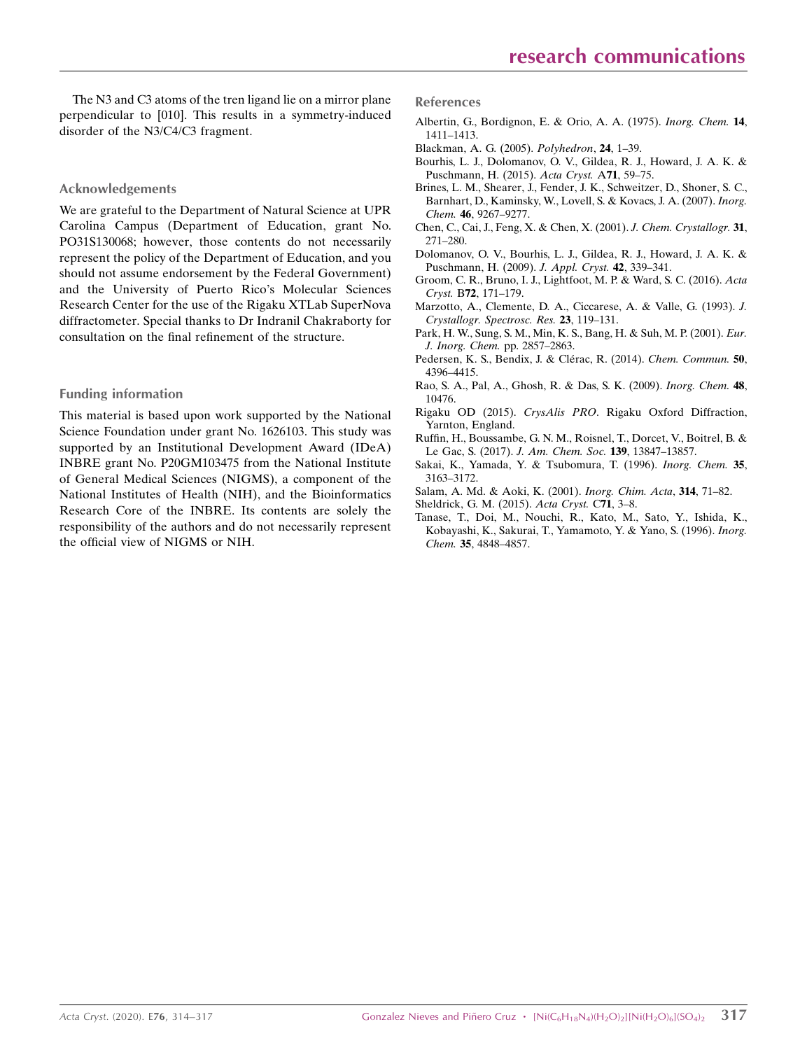The N3 and C3 atoms of the tren ligand lie on a mirror plane perpendicular to [010]. This results in a symmetry-induced disorder of the N3/C4/C3 fragment.

#### Acknowledgements

We are grateful to the Department of Natural Science at UPR Carolina Campus (Department of Education, grant No. PO31S130068; however, those contents do not necessarily represent the policy of the Department of Education, and you should not assume endorsement by the Federal Government) and the University of Puerto Rico's Molecular Sciences Research Center for the use of the Rigaku XTLab SuperNova diffractometer. Special thanks to Dr Indranil Chakraborty for consultation on the final refinement of the structure.

#### Funding information

This material is based upon work supported by the National Science Foundation under grant No. 1626103. This study was supported by an Institutional Development Award (IDeA) INBRE grant No. P20GM103475 from the National Institute of General Medical Sciences (NIGMS), a component of the National Institutes of Health (NIH), and the Bioinformatics Research Core of the INBRE. Its contents are solely the responsibility of the authors and do not necessarily represent the official view of NIGMS or NIH.

References

- [Albertin, G., Bordignon, E. & Orio, A. A. \(1975\).](http://scripts.iucr.org/cgi-bin/cr.cgi?rm=pdfbb&cnor=xi2016&bbid=BB1) Inorg. Chem. 14, [1411–1413.](http://scripts.iucr.org/cgi-bin/cr.cgi?rm=pdfbb&cnor=xi2016&bbid=BB1)
- [Blackman, A. G. \(2005\).](http://scripts.iucr.org/cgi-bin/cr.cgi?rm=pdfbb&cnor=xi2016&bbid=BB2) Polyhedron, 24, 1–39.
- [Bourhis, L. J., Dolomanov, O. V., Gildea, R. J., Howard, J. A. K. &](http://scripts.iucr.org/cgi-bin/cr.cgi?rm=pdfbb&cnor=xi2016&bbid=BB3) [Puschmann, H. \(2015\).](http://scripts.iucr.org/cgi-bin/cr.cgi?rm=pdfbb&cnor=xi2016&bbid=BB3) Acta Cryst. A71, 59–75.
- [Brines, L. M., Shearer, J., Fender, J. K., Schweitzer, D., Shoner, S. C.,](http://scripts.iucr.org/cgi-bin/cr.cgi?rm=pdfbb&cnor=xi2016&bbid=BB4) [Barnhart, D., Kaminsky, W., Lovell, S. & Kovacs, J. A. \(2007\).](http://scripts.iucr.org/cgi-bin/cr.cgi?rm=pdfbb&cnor=xi2016&bbid=BB4) Inorg. Chem. 46[, 9267–9277.](http://scripts.iucr.org/cgi-bin/cr.cgi?rm=pdfbb&cnor=xi2016&bbid=BB4)
- [Chen, C., Cai, J., Feng, X. & Chen, X. \(2001\).](http://scripts.iucr.org/cgi-bin/cr.cgi?rm=pdfbb&cnor=xi2016&bbid=BB5) J. Chem. Crystallogr. 31, [271–280.](http://scripts.iucr.org/cgi-bin/cr.cgi?rm=pdfbb&cnor=xi2016&bbid=BB5)
- [Dolomanov, O. V., Bourhis, L. J., Gildea, R. J., Howard, J. A. K. &](http://scripts.iucr.org/cgi-bin/cr.cgi?rm=pdfbb&cnor=xi2016&bbid=BB6) [Puschmann, H. \(2009\).](http://scripts.iucr.org/cgi-bin/cr.cgi?rm=pdfbb&cnor=xi2016&bbid=BB6) J. Appl. Cryst. 42, 339–341.
- [Groom, C. R., Bruno, I. J., Lightfoot, M. P. & Ward, S. C. \(2016\).](http://scripts.iucr.org/cgi-bin/cr.cgi?rm=pdfbb&cnor=xi2016&bbid=BB7) Acta Cryst. B72[, 171–179.](http://scripts.iucr.org/cgi-bin/cr.cgi?rm=pdfbb&cnor=xi2016&bbid=BB7)
- [Marzotto, A., Clemente, D. A., Ciccarese, A. & Valle, G. \(1993\).](http://scripts.iucr.org/cgi-bin/cr.cgi?rm=pdfbb&cnor=xi2016&bbid=BB8) J. [Crystallogr. Spectrosc. Res.](http://scripts.iucr.org/cgi-bin/cr.cgi?rm=pdfbb&cnor=xi2016&bbid=BB8) 23, 119–131.
- [Park, H. W., Sung, S. M., Min, K. S., Bang, H. & Suh, M. P. \(2001\).](http://scripts.iucr.org/cgi-bin/cr.cgi?rm=pdfbb&cnor=xi2016&bbid=BB9) Eur. [J. Inorg. Chem.](http://scripts.iucr.org/cgi-bin/cr.cgi?rm=pdfbb&cnor=xi2016&bbid=BB9) pp. 2857–2863.
- Pedersen, K. S., Bendix, J. & Clérac, R. (2014). Chem. Commun. 50, [4396–4415.](http://scripts.iucr.org/cgi-bin/cr.cgi?rm=pdfbb&cnor=xi2016&bbid=BB10)
- [Rao, S. A., Pal, A., Ghosh, R. & Das, S. K. \(2009\).](http://scripts.iucr.org/cgi-bin/cr.cgi?rm=pdfbb&cnor=xi2016&bbid=BB11) Inorg. Chem. 48, [10476.](http://scripts.iucr.org/cgi-bin/cr.cgi?rm=pdfbb&cnor=xi2016&bbid=BB11)
- Rigaku OD (2015). CrysAlis PRO[. Rigaku Oxford Diffraction,](http://scripts.iucr.org/cgi-bin/cr.cgi?rm=pdfbb&cnor=xi2016&bbid=BB18) [Yarnton, England.](http://scripts.iucr.org/cgi-bin/cr.cgi?rm=pdfbb&cnor=xi2016&bbid=BB18)
- [Ruffin, H., Boussambe, G. N. M., Roisnel, T., Dorcet, V., Boitrel, B. &](http://scripts.iucr.org/cgi-bin/cr.cgi?rm=pdfbb&cnor=xi2016&bbid=BB12) Le Gac, S. (2017). [J. Am. Chem. Soc.](http://scripts.iucr.org/cgi-bin/cr.cgi?rm=pdfbb&cnor=xi2016&bbid=BB12) 139, 13847–13857.
- [Sakai, K., Yamada, Y. & Tsubomura, T. \(1996\).](http://scripts.iucr.org/cgi-bin/cr.cgi?rm=pdfbb&cnor=xi2016&bbid=BB13) Inorg. Chem. 35, [3163–3172.](http://scripts.iucr.org/cgi-bin/cr.cgi?rm=pdfbb&cnor=xi2016&bbid=BB13)
- [Salam, A. Md. & Aoki, K. \(2001\).](http://scripts.iucr.org/cgi-bin/cr.cgi?rm=pdfbb&cnor=xi2016&bbid=BB14) Inorg. Chim. Acta, 314, 71–82.
- [Sheldrick, G. M. \(2015\).](http://scripts.iucr.org/cgi-bin/cr.cgi?rm=pdfbb&cnor=xi2016&bbid=BB16) Acta Cryst. C71, 3–8.
- [Tanase, T., Doi, M., Nouchi, R., Kato, M., Sato, Y., Ishida, K.,](http://scripts.iucr.org/cgi-bin/cr.cgi?rm=pdfbb&cnor=xi2016&bbid=BB17) [Kobayashi, K., Sakurai, T., Yamamoto, Y. & Yano, S. \(1996\).](http://scripts.iucr.org/cgi-bin/cr.cgi?rm=pdfbb&cnor=xi2016&bbid=BB17) Inorg. Chem. 35[, 4848–4857.](http://scripts.iucr.org/cgi-bin/cr.cgi?rm=pdfbb&cnor=xi2016&bbid=BB17)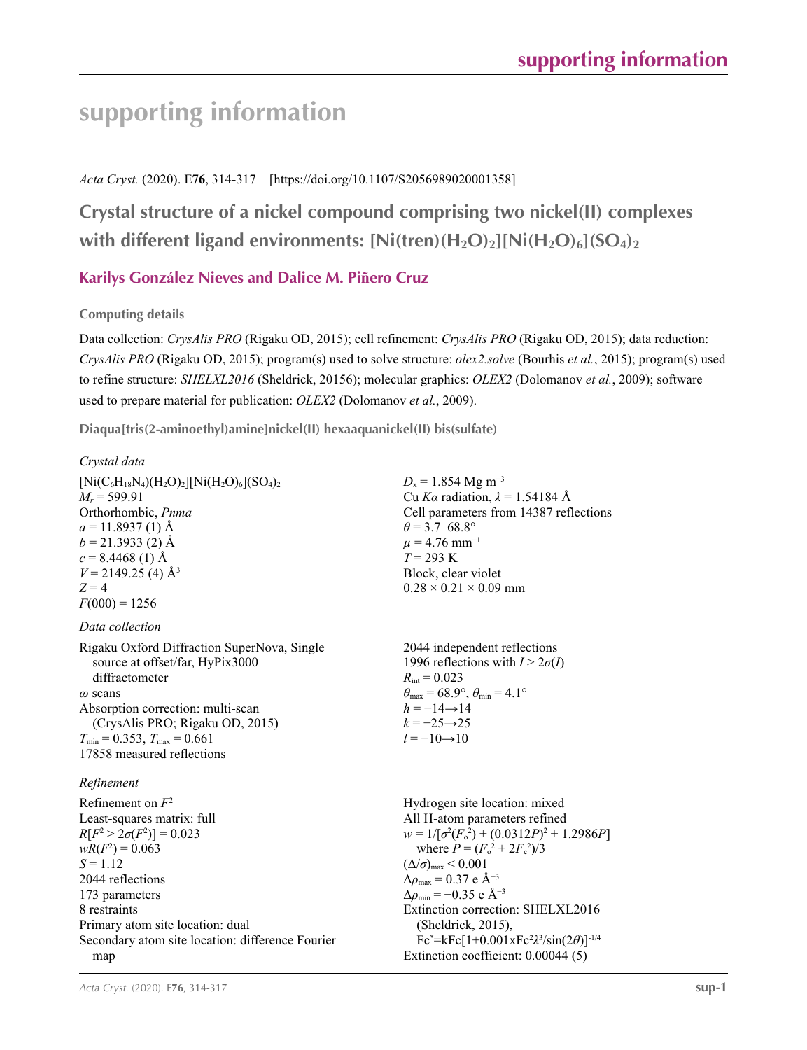# **supporting information**

## *Acta Cryst.* (2020). E**76**, 314-317 [https://doi.org/10.1107/S2056989020001358]

## **Crystal structure of a nickel compound comprising two nickel(II) complexes**  with different ligand environments:  $[Ni(tren)(H_2O)_2][Ni(H_2O)_6](SO_4)_2$

## **Karilys González Nieves and Dalice M. Piñero Cruz**

## **Computing details**

Data collection: *CrysAlis PRO* (Rigaku OD, 2015); cell refinement: *CrysAlis PRO* (Rigaku OD, 2015); data reduction: *CrysAlis PRO* (Rigaku OD, 2015); program(s) used to solve structure: *olex2.solve* (Bourhis *et al.*, 2015); program(s) used to refine structure: *SHELXL2016* (Sheldrick, 20156); molecular graphics: *OLEX2* (Dolomanov *et al.*, 2009); software used to prepare material for publication: *OLEX2* (Dolomanov *et al.*, 2009).

**Diaqua[tris(2-aminoethyl)amine]nickel(II) hexaaquanickel(II) bis(sulfate)** 

## *Crystal data*

 $[Ni(C_6H_{18}N_4)(H_2O)_2][Ni(H_2O)_6](SO_4)_2$  $M_r = 599.91$ Orthorhombic, *Pnma*  $a = 11.8937(1)$  Å  $b = 21.3933(2)$  Å  $c = 8.4468(1)$  Å  $V = 2149.25$  (4) Å<sup>3</sup>  $Z = 4$  $F(000) = 1256$ *Data collection*

Rigaku Oxford Diffraction SuperNova, Single source at offset/far, HyPix3000 diffractometer *ω* scans Absorption correction: multi-scan (CrysAlis PRO; Rigaku OD, 2015)  $T_{\text{min}} = 0.353$ ,  $T_{\text{max}} = 0.661$ 17858 measured reflections

## *Refinement*

Refinement on *F*<sup>2</sup> Least-squares matrix: full  $R[F^2 > 2\sigma(F^2)] = 0.023$  $wR(F^2) = 0.063$  $S = 1.12$ 2044 reflections 173 parameters 8 restraints Primary atom site location: dual Secondary atom site location: difference Fourier map

 $D_x = 1.854$  Mg m<sup>-3</sup> Cu *Kα* radiation, *λ* = 1.54184 Å Cell parameters from 14387 reflections  $\theta$  = 3.7–68.8°  $\mu$  = 4.76 mm<sup>-1</sup> *T* = 293 K Block, clear violet  $0.28 \times 0.21 \times 0.09$  mm

2044 independent reflections 1996 reflections with  $I > 2\sigma(I)$  $R_{\text{int}} = 0.023$  $\theta_{\text{max}} = 68.9^{\circ}, \theta_{\text{min}} = 4.1^{\circ}$  $h = -14 \rightarrow 14$  $k = -25 \rightarrow 25$  $l = -10 \rightarrow 10$ 

Hydrogen site location: mixed All H-atom parameters refined  $w = 1/[\sigma^2 (F_o^2) + (0.0312P)^2 + 1.2986P]$ where  $P = (F_o^2 + 2F_c^2)/3$  $(\Delta/\sigma)_{\text{max}}$  < 0.001  $Δρ<sub>max</sub> = 0.37 e Å<sup>-3</sup>$  $\Delta\rho_{\text{min}} = -0.35$  e Å<sup>-3</sup> Extinction correction: SHELXL2016 (Sheldrick, 2015), Fc\* =kFc[1+0.001xFc2 *λ*3 /sin(2*θ*)]-1/4 Extinction coefficient: 0.00044 (5)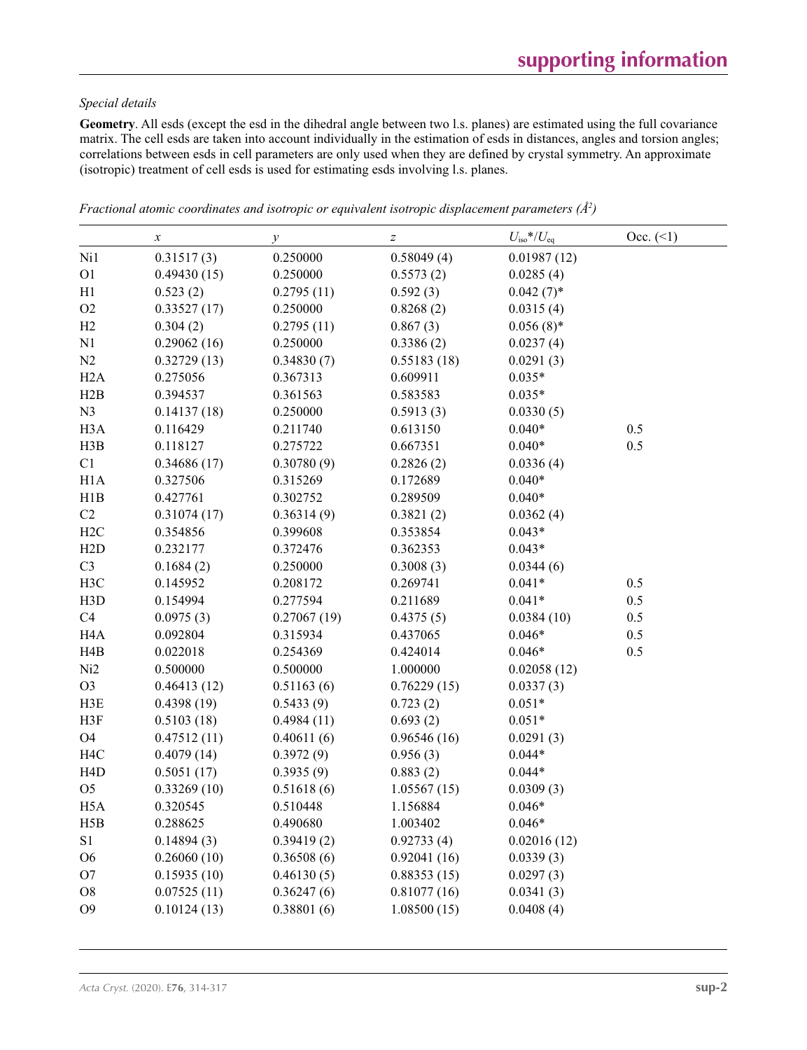## *Special details*

**Geometry**. All esds (except the esd in the dihedral angle between two l.s. planes) are estimated using the full covariance matrix. The cell esds are taken into account individually in the estimation of esds in distances, angles and torsion angles; correlations between esds in cell parameters are only used when they are defined by crystal symmetry. An approximate (isotropic) treatment of cell esds is used for estimating esds involving l.s. planes.

|                  | $\boldsymbol{x}$ | $\mathcal{Y}$ | $\boldsymbol{Z}$ | $U_{\rm iso}$ */ $U_{\rm eq}$ | Occ. (2) |
|------------------|------------------|---------------|------------------|-------------------------------|----------|
| Ni1              | 0.31517(3)       | 0.250000      | 0.58049(4)       | 0.01987(12)                   |          |
| O <sub>1</sub>   | 0.49430(15)      | 0.250000      | 0.5573(2)        | 0.0285(4)                     |          |
| H1               | 0.523(2)         | 0.2795(11)    | 0.592(3)         | $0.042(7)$ *                  |          |
| O <sub>2</sub>   | 0.33527(17)      | 0.250000      | 0.8268(2)        | 0.0315(4)                     |          |
| H2               | 0.304(2)         | 0.2795(11)    | 0.867(3)         | $0.056(8)$ *                  |          |
| N1               | 0.29062(16)      | 0.250000      | 0.3386(2)        | 0.0237(4)                     |          |
| N2               | 0.32729(13)      | 0.34830(7)    | 0.55183(18)      | 0.0291(3)                     |          |
| H2A              | 0.275056         | 0.367313      | 0.609911         | $0.035*$                      |          |
| H2B              | 0.394537         | 0.361563      | 0.583583         | $0.035*$                      |          |
| N <sub>3</sub>   | 0.14137(18)      | 0.250000      | 0.5913(3)        | 0.0330(5)                     |          |
| H <sub>3</sub> A | 0.116429         | 0.211740      | 0.613150         | $0.040*$                      | 0.5      |
| H3B              | 0.118127         | 0.275722      | 0.667351         | $0.040*$                      | 0.5      |
| C1               | 0.34686(17)      | 0.30780(9)    | 0.2826(2)        | 0.0336(4)                     |          |
| H1A              | 0.327506         | 0.315269      | 0.172689         | $0.040*$                      |          |
| H1B              | 0.427761         | 0.302752      | 0.289509         | $0.040*$                      |          |
| C2               | 0.31074(17)      | 0.36314(9)    | 0.3821(2)        | 0.0362(4)                     |          |
| H2C              | 0.354856         | 0.399608      | 0.353854         | $0.043*$                      |          |
| H2D              | 0.232177         | 0.372476      | 0.362353         | $0.043*$                      |          |
| C <sub>3</sub>   | 0.1684(2)        | 0.250000      | 0.3008(3)        | 0.0344(6)                     |          |
| H3C              | 0.145952         | 0.208172      | 0.269741         | $0.041*$                      | 0.5      |
| H3D              | 0.154994         | 0.277594      | 0.211689         | $0.041*$                      | 0.5      |
| C4               | 0.0975(3)        | 0.27067(19)   | 0.4375(5)        | 0.0384(10)                    | 0.5      |
| H <sub>4</sub> A | 0.092804         | 0.315934      | 0.437065         | $0.046*$                      | 0.5      |
| H4B              | 0.022018         | 0.254369      | 0.424014         | $0.046*$                      | 0.5      |
| Ni2              | 0.500000         | 0.500000      | 1.000000         | 0.02058(12)                   |          |
| O <sub>3</sub>   | 0.46413(12)      | 0.51163(6)    | 0.76229(15)      | 0.0337(3)                     |          |
| H3E              | 0.4398(19)       | 0.5433(9)     | 0.723(2)         | $0.051*$                      |          |
| H3F              | 0.5103(18)       | 0.4984(11)    | 0.693(2)         | $0.051*$                      |          |
| O4               | 0.47512(11)      | 0.40611(6)    | 0.96546(16)      | 0.0291(3)                     |          |
| H <sub>4</sub> C | 0.4079(14)       | 0.3972(9)     | 0.956(3)         | $0.044*$                      |          |
| H <sub>4</sub> D | 0.5051(17)       | 0.3935(9)     | 0.883(2)         | $0.044*$                      |          |
| O <sub>5</sub>   | 0.33269(10)      | 0.51618(6)    | 1.05567(15)      | 0.0309(3)                     |          |
| H <sub>5</sub> A | 0.320545         | 0.510448      | 1.156884         | $0.046*$                      |          |
| H5B              | 0.288625         | 0.490680      | 1.003402         | $0.046*$                      |          |
| S1               | 0.14894(3)       | 0.39419(2)    | 0.92733(4)       | 0.02016(12)                   |          |
| O <sub>6</sub>   | 0.26060(10)      | 0.36508(6)    | 0.92041(16)      | 0.0339(3)                     |          |
| O <sub>7</sub>   | 0.15935(10)      | 0.46130(5)    | 0.88353(15)      | 0.0297(3)                     |          |
| ${\rm O}8$       | 0.07525(11)      | 0.36247(6)    | 0.81077(16)      | 0.0341(3)                     |          |
| O <sub>9</sub>   | 0.10124(13)      | 0.38801(6)    | 1.08500(15)      | 0.0408(4)                     |          |
|                  |                  |               |                  |                               |          |

*Fractional atomic coordinates and isotropic or equivalent isotropic displacement parameters (Å<sup>2</sup>)*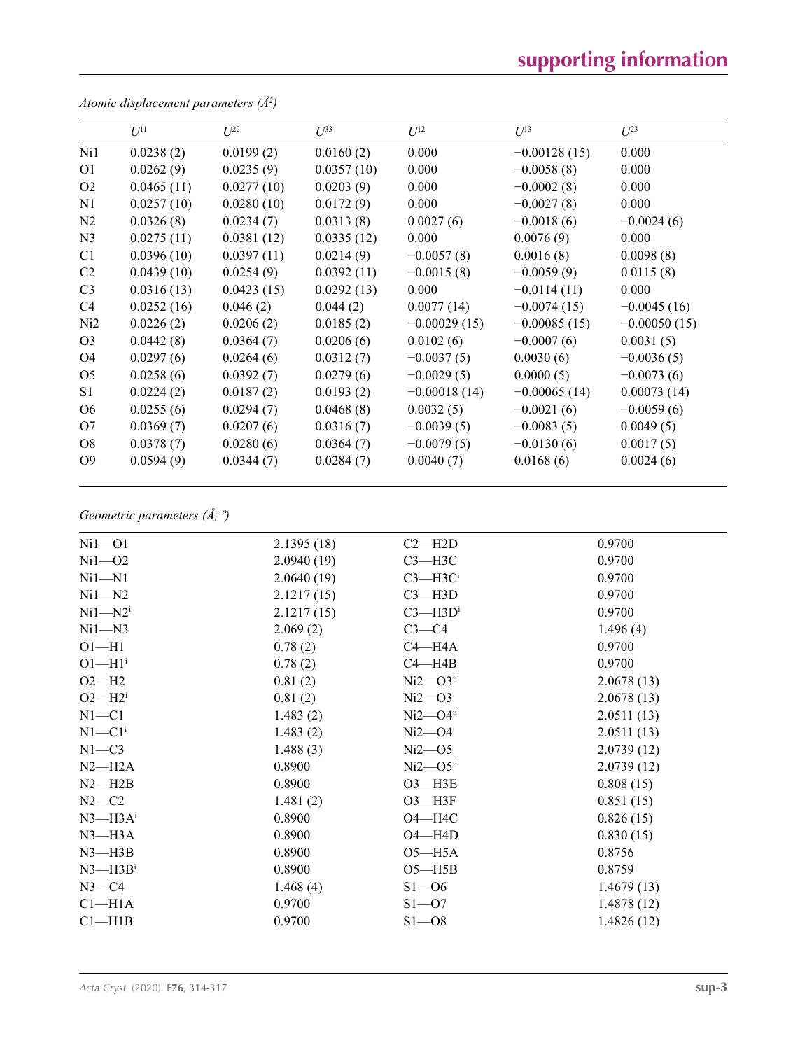# **supporting information**

|                 | $U^{11}$   | $U^{22}$   | $U^{33}$   | $U^{12}$       | $U^{13}$       | $U^{23}$       |
|-----------------|------------|------------|------------|----------------|----------------|----------------|
| Ni1             | 0.0238(2)  | 0.0199(2)  | 0.0160(2)  | 0.000          | $-0.00128(15)$ | 0.000          |
| O <sub>1</sub>  | 0.0262(9)  | 0.0235(9)  | 0.0357(10) | 0.000          | $-0.0058(8)$   | 0.000          |
| O <sub>2</sub>  | 0.0465(11) | 0.0277(10) | 0.0203(9)  | 0.000          | $-0.0002(8)$   | 0.000          |
| N <sub>1</sub>  | 0.0257(10) | 0.0280(10) | 0.0172(9)  | 0.000          | $-0.0027(8)$   | 0.000          |
| N <sub>2</sub>  | 0.0326(8)  | 0.0234(7)  | 0.0313(8)  | 0.0027(6)      | $-0.0018(6)$   | $-0.0024(6)$   |
| N <sub>3</sub>  | 0.0275(11) | 0.0381(12) | 0.0335(12) | 0.000          | 0.0076(9)      | 0.000          |
| C <sub>1</sub>  | 0.0396(10) | 0.0397(11) | 0.0214(9)  | $-0.0057(8)$   | 0.0016(8)      | 0.0098(8)      |
| C2              | 0.0439(10) | 0.0254(9)  | 0.0392(11) | $-0.0015(8)$   | $-0.0059(9)$   | 0.0115(8)      |
| C <sub>3</sub>  | 0.0316(13) | 0.0423(15) | 0.0292(13) | 0.000          | $-0.0114(11)$  | 0.000          |
| C4              | 0.0252(16) | 0.046(2)   | 0.044(2)   | 0.0077(14)     | $-0.0074(15)$  | $-0.0045(16)$  |
| Ni <sub>2</sub> | 0.0226(2)  | 0.0206(2)  | 0.0185(2)  | $-0.00029(15)$ | $-0.00085(15)$ | $-0.00050(15)$ |
| O <sub>3</sub>  | 0.0442(8)  | 0.0364(7)  | 0.0206(6)  | 0.0102(6)      | $-0.0007(6)$   | 0.0031(5)      |
| O <sub>4</sub>  | 0.0297(6)  | 0.0264(6)  | 0.0312(7)  | $-0.0037(5)$   | 0.0030(6)      | $-0.0036(5)$   |
| O <sub>5</sub>  | 0.0258(6)  | 0.0392(7)  | 0.0279(6)  | $-0.0029(5)$   | 0.0000(5)      | $-0.0073(6)$   |
| S <sub>1</sub>  | 0.0224(2)  | 0.0187(2)  | 0.0193(2)  | $-0.00018(14)$ | $-0.00065(14)$ | 0.00073(14)    |
| O <sub>6</sub>  | 0.0255(6)  | 0.0294(7)  | 0.0468(8)  | 0.0032(5)      | $-0.0021(6)$   | $-0.0059(6)$   |
| O7              | 0.0369(7)  | 0.0207(6)  | 0.0316(7)  | $-0.0039(5)$   | $-0.0083(5)$   | 0.0049(5)      |
| O <sub>8</sub>  | 0.0378(7)  | 0.0280(6)  | 0.0364(7)  | $-0.0079(5)$   | $-0.0130(6)$   | 0.0017(5)      |
| O <sub>9</sub>  | 0.0594(9)  | 0.0344(7)  | 0.0284(7)  | 0.0040(7)      | 0.0168(6)      | 0.0024(6)      |
|                 |            |            |            |                |                |                |

*Atomic displacement parameters (Å2 )*

## *Geometric parameters (Å, º)*

| $Ni1 - O1$              | 2.1395(18) | $C2 - H2D$               | 0.9700     |
|-------------------------|------------|--------------------------|------------|
| $Ni1 - O2$              | 2.0940(19) | $C3 - H3C$               | 0.9700     |
| $Ni1 - N1$              | 2.0640(19) | $C3 - H3C$               | 0.9700     |
| $Ni1 - N2$              | 2.1217(15) | $C3 - H3D$               | 0.9700     |
| $Ni1 - N2$ <sup>i</sup> | 2.1217(15) | $C3$ —H $3Di$            | 0.9700     |
| $Ni1 - N3$              | 2.069(2)   | $C3-C4$                  | 1.496(4)   |
| $O1 - H1$               | 0.78(2)    | $C4 - H4A$               | 0.9700     |
| $O1 - H1$ <sup>i</sup>  | 0.78(2)    | $C4 - H4B$               | 0.9700     |
| $O2-H2$                 | 0.81(2)    | $Ni2 - O3$ <sup>ii</sup> | 2.0678(13) |
| $O2-H2i$                | 0.81(2)    | $Ni2 - O3$               | 2.0678(13) |
| $N1 - C1$               | 1.483(2)   | $Ni2$ — $O4ii$           | 2.0511(13) |
| $N1 - C1$ <sup>i</sup>  | 1.483(2)   | $Ni2 - O4$               | 2.0511(13) |
| $N1 - C3$               | 1.488(3)   | $Ni2 - O5$               | 2.0739(12) |
| $N2-H2A$                | 0.8900     | $Ni2 - O5$ <sup>ii</sup> | 2.0739(12) |
| $N2 - H2B$              | 0.8900     | $O3 - H3E$               | 0.808(15)  |
| $N2-C2$                 | 1.481(2)   | $O3 - H3F$               | 0.851(15)  |
| $N3 - H3A$ <sup>i</sup> | 0.8900     | $O4 - H4C$               | 0.826(15)  |
| $N3 - H3A$              | 0.8900     | $O4 - H4D$               | 0.830(15)  |
| $N3$ —H $3B$            | 0.8900     | $O5 - H5A$               | 0.8756     |
| $N3$ —H $3Bi$           | 0.8900     | $O5 - H5B$               | 0.8759     |
| $N3-C4$                 | 1.468(4)   | $S1 - 06$                | 1.4679(13) |
| Cl <sub>–H1A</sub>      | 0.9700     | $S1 - 07$                | 1.4878(12) |
| $Cl-H1B$                | 0.9700     | $S1 - 08$                | 1.4826(12) |
|                         |            |                          |            |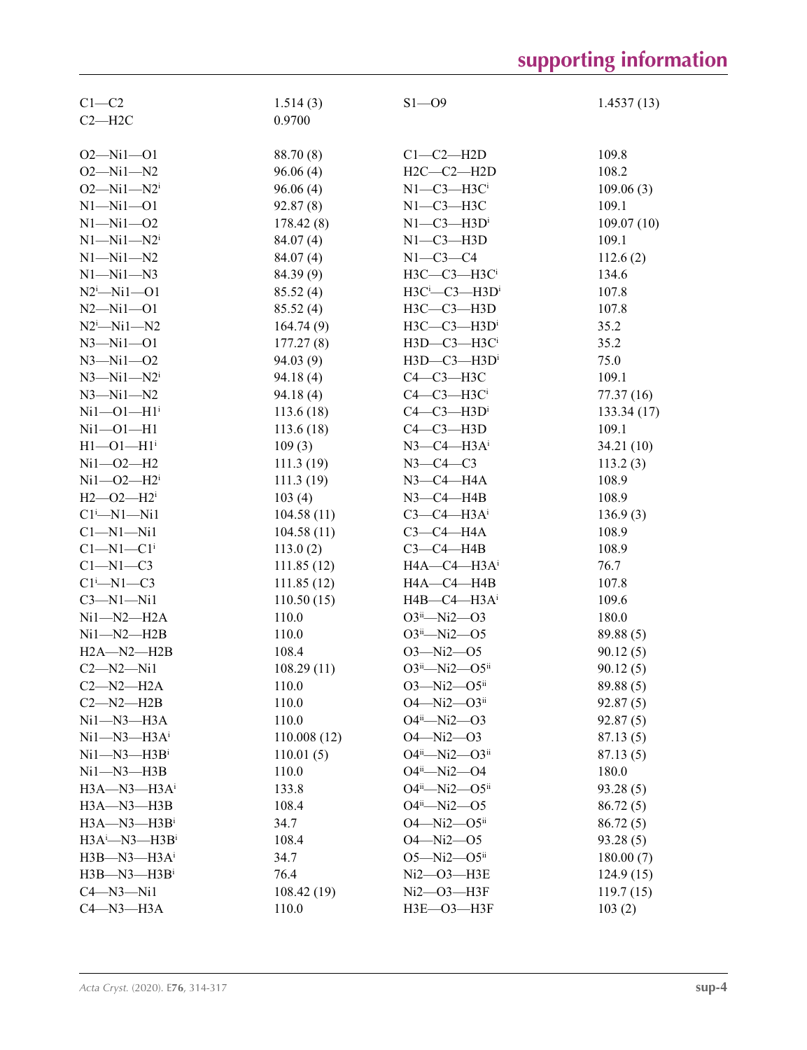# **supporting information**

| $C1 - C2$                     | 1.514(3)    | $S1 - O9$                        | 1.4537(13) |
|-------------------------------|-------------|----------------------------------|------------|
| $C2 - H2C$                    | 0.9700      |                                  |            |
|                               |             |                                  |            |
| $O2 - Ni1 - O1$               | 88.70 (8)   | $Cl$ - $C2$ - $H2D$              | 109.8      |
| $O2 - Ni1 - N2$               | 96.06(4)    | $H2C-C2-H2D$                     | 108.2      |
| $O2 - Ni1 - N2$ <sup>i</sup>  | 96.06(4)    | $N1-C3-H3Ci$                     | 109.06(3)  |
| $N1 - N11 - 01$               | 92.87(8)    | $N1-C3-H3C$                      | 109.1      |
| $N1 - N11 - 02$               | 178.42(8)   | $N1-C3-H3Di$                     | 109.07(10) |
| $N1 - N11 - N2$               | 84.07 (4)   | $N1-C3-H3D$                      | 109.1      |
| $N1 - N11 - N2$               | 84.07(4)    | $N1-C3-C4$                       | 112.6(2)   |
| $N1 - N11 - N3$               | 84.39 (9)   | H3C-C3-H3Ci                      | 134.6      |
| $N2^i$ -Ni1--01               | 85.52(4)    | $H3C^i$ -C3-H3D <sup>i</sup>     | 107.8      |
| $N2 - Ni1 - O1$               | 85.52(4)    | H3C-C3-H3D                       | 107.8      |
| $N2^i$ -Ni1- $N2$             | 164.74(9)   | $H3C - C3 - H3D$                 | 35.2       |
| $N3 - N11 - 01$               | 177.27(8)   | H3D-C3-H3Ci                      | 35.2       |
| $N3 - N11 - 02$               | 94.03(9)    | H3D-C3-H3Di                      | 75.0       |
| $N3 - N11 - N2$               | 94.18(4)    | $C4-C3-H3C$                      | 109.1      |
| $N3 - N11 - N2$               | 94.18(4)    | $C4-C3-H3Ci$                     | 77.37(16)  |
| $Ni1 - O1 - H1$ <sup>i</sup>  | 113.6(18)   | $C4-C3-H3Di$                     | 133.34(17) |
| $Ni1 - O1 - H1$               | 113.6(18)   | $C4-C3-H3D$                      | 109.1      |
| $H1 - O1 - H1$ <sup>i</sup>   | 109(3)      | $N3$ –C4–H3A <sup>i</sup>        | 34.21 (10) |
| $Ni1 - O2 - H2$               | 111.3(19)   | $N3-C4-C3$                       | 113.2(3)   |
| $Ni1 - O2 - H2$ <sup>i</sup>  | 111.3(19)   | $N3$ –C4–H4A                     | 108.9      |
| $H2 - O2 - H2$ <sup>i</sup>   |             | $N3-C4-H4B$                      | 108.9      |
| $Cl^{i}$ -N1-Ni1              | 103(4)      |                                  |            |
|                               | 104.58(11)  | $C3-C4-H3Ai$                     | 136.9(3)   |
| $Cl-M1-Ni1$                   | 104.58(11)  | $C3-C4-H4A$                      | 108.9      |
| $Cl-M1-C1$ <sup>i</sup>       | 113.0(2)    | $C3-C4-H4B$                      | 108.9      |
| $C1-M1-C3$                    | 111.85(12)  | $HA$ — $C4$ — $H3A$ <sup>i</sup> | 76.7       |
| $Cl^1$ —N1—C3                 | 111.85(12)  | HA—C4—H4B                        | 107.8      |
| $C3-M1-Mi1$                   | 110.50(15)  | $H4B - C4 - H3A$ <sup>i</sup>    | 109.6      |
| $Ni1 - N2 - H2A$              | 110.0       | $O3^{ii}$ -Ni2- $O3$             | 180.0      |
| $Ni1 - N2 - H2B$              | 110.0       | $O3ii$ -Ni2- $O5$                | 89.88(5)   |
| $H2A-M2-H2B$                  | 108.4       | $O3 - Ni2 - O5$                  | 90.12(5)   |
| $C2 - N2 - N11$               | 108.29(11)  | $O3^{ii}$ -Ni2- $O5^{ii}$        | 90.12(5)   |
| $C2-M2-H2A$                   | 110.0       | $O3 - Ni2 - O5$ <sup>ii</sup>    | 89.88 (5)  |
| $C2 - N2 - H2B$               | 110.0       | $O4 - Ni2 - O3ii$                | 92.87(5)   |
| $Ni1 - N3 - H3A$              | 110.0       | $O4^{ii}$ —Ni2—O3                | 92.87(5)   |
| $Ni1 - N3 - H3Ai$             | 110.008(12) | $O4 - Ni2 - O3$                  | 87.13(5)   |
| $Ni1 - N3 - H3B$              | 110.01(5)   | O4ii-Ni2-O3ii                    | 87.13(5)   |
| $Ni1 - N3 - H3B$              | 110.0       | $O4^{ii}$ —Ni2—O4                | 180.0      |
| $H3A - N3 - H3A$ <sup>i</sup> | 133.8       | $O4^{ii}$ —Ni2— $O5^{ii}$        | 93.28(5)   |
| $H3A - N3 - H3B$              | 108.4       | $O4^{ii}$ —Ni2—O5                | 86.72(5)   |
| $H3A - N3 - H3B$ <sup>i</sup> | 34.7        | $O4 - Ni2 - O5$ <sup>ii</sup>    | 86.72(5)   |
| $H3A^i$ -N3-H3B <sup>i</sup>  | 108.4       | $O4 - Ni2 - O5$                  | 93.28(5)   |
| $H3B$ —N3—H3A <sup>i</sup>    | 34.7        | $O5 - Ni2 - O5$ <sup>ii</sup>    | 180.00(7)  |
| $H3B$ -N3- $H3B$ <sup>i</sup> | 76.4        | $Ni2 - O3 - H3E$                 | 124.9(15)  |
| $C4 - N3 - N11$               | 108.42(19)  | Ni2—O3—H3F                       | 119.7(15)  |
| $C4 - N3 - H3A$               | 110.0       | НЗЕ-ОЗ-НЗЕ                       | 103(2)     |